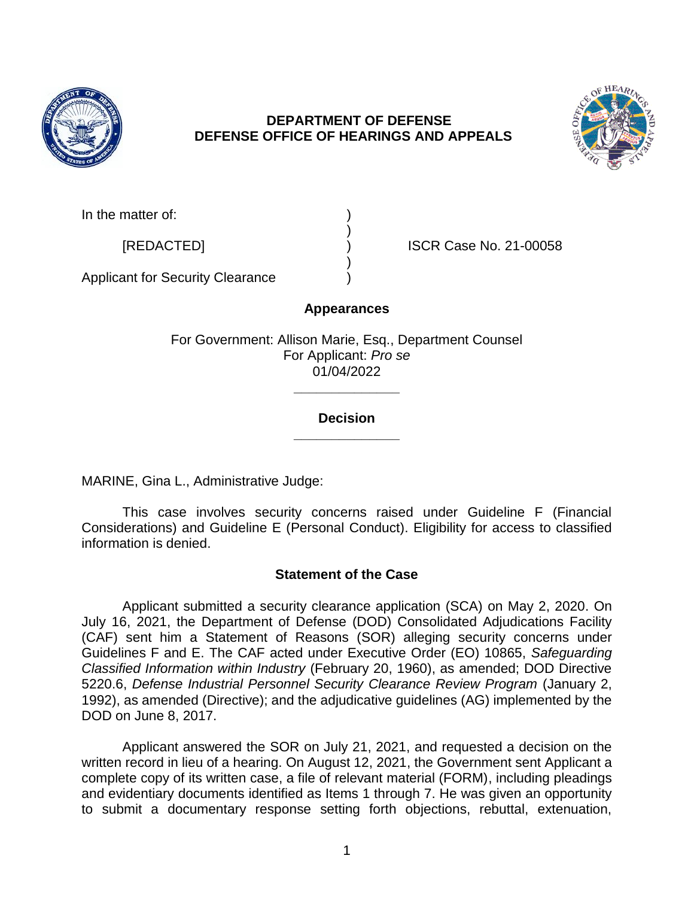

# **DEPARTMENT OF DEFENSE DEFENSE OFFICE OF HEARINGS AND APPEALS**



In the matter of:

[REDACTED] ) ISCR Case No. 21-00058

Applicant for Security Clearance )

# **Appearances**

)

)

For Government: Allison Marie, Esq., Department Counsel For Applicant: *Pro se*  01/04/2022

## **\_\_\_\_\_\_\_\_\_\_\_\_\_\_ Decision**

**\_\_\_\_\_\_\_\_\_\_\_\_\_\_** 

MARINE, Gina L., Administrative Judge:

 This case involves security concerns raised under Guideline F (Financial Considerations) and Guideline E (Personal Conduct). Eligibility for access to classified information is denied.

# **Statement of the Case**

 Applicant submitted a security clearance application (SCA) on May 2, 2020. On (CAF) sent him a Statement of Reasons (SOR) alleging security concerns under  *Classified Information within Industry* (February 20, 1960), as amended; DOD Directive 5220.6, *Defense Industrial Personnel Security Clearance Review Program* (January 2, July 16, 2021, the Department of Defense (DOD) Consolidated Adjudications Facility Guidelines F and E. The CAF acted under Executive Order (EO) 10865, *Safeguarding*  1992), as amended (Directive); and the adjudicative guidelines (AG) implemented by the DOD on June 8, 2017.

 Applicant answered the SOR on July 21, 2021, and requested a decision on the complete copy of its written case, a file of relevant material (FORM), including pleadings and evidentiary documents identified as Items 1 through 7. He was given an opportunity to submit a documentary response setting forth objections, rebuttal, extenuation, written record in lieu of a hearing. On August 12, 2021, the Government sent Applicant a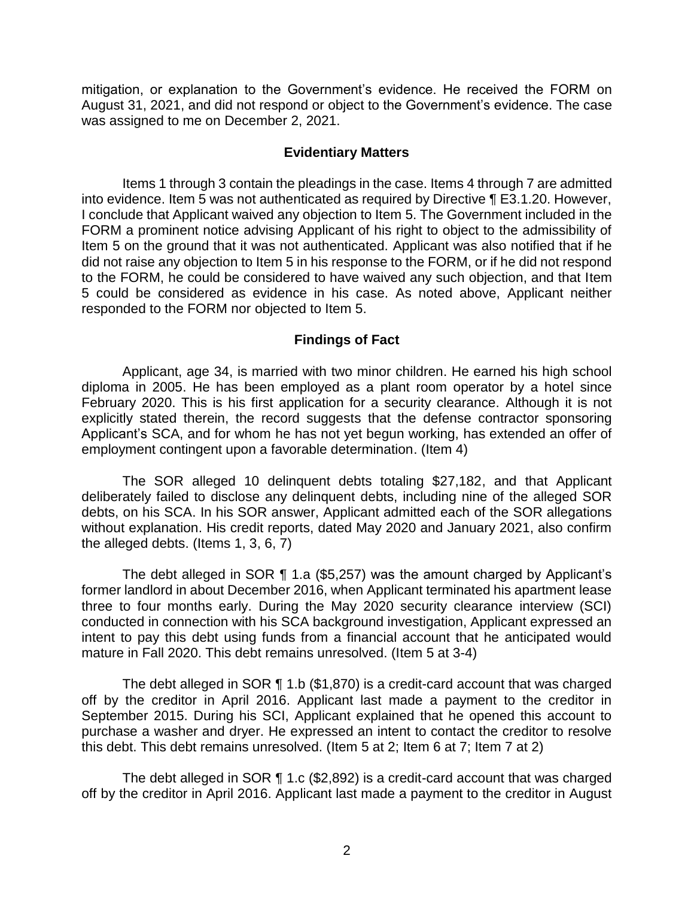mitigation, or explanation to the Government's evidence. He received the FORM on August 31, 2021, and did not respond or object to the Government's evidence. The case was assigned to me on December 2, 2021.

### **Evidentiary Matters**

 Items 1 through 3 contain the pleadings in the case. Items 4 through 7 are admitted into evidence. Item 5 was not authenticated as required by Directive ¶ E3.1.20. However, I conclude that Applicant waived any objection to Item 5. The Government included in the FORM a prominent notice advising Applicant of his right to object to the admissibility of Item 5 on the ground that it was not authenticated. Applicant was also notified that if he did not raise any objection to Item 5 in his response to the FORM, or if he did not respond to the FORM, he could be considered to have waived any such objection, and that Item 5 could be considered as evidence in his case. As noted above, Applicant neither responded to the FORM nor objected to Item 5.

### **Findings of Fact**

 Applicant, age 34, is married with two minor children. He earned his high school diploma in 2005. He has been employed as a plant room operator by a hotel since February 2020. This is his first application for a security clearance. Although it is not explicitly stated therein, the record suggests that the defense contractor sponsoring Applicant's SCA, and for whom he has not yet begun working, has extended an offer of employment contingent upon a favorable determination. (Item 4)

 The SOR alleged 10 delinquent debts totaling \$27,182, and that Applicant deliberately failed to disclose any delinquent debts, including nine of the alleged SOR debts, on his SCA. In his SOR answer, Applicant admitted each of the SOR allegations without explanation. His credit reports, dated May 2020 and January 2021, also confirm the alleged debts. (Items 1, 3, 6, 7)

 The debt alleged in SOR ¶ 1.a (\$5,257) was the amount charged by Applicant's three to four months early. During the May 2020 security clearance interview (SCI) conducted in connection with his SCA background investigation, Applicant expressed an intent to pay this debt using funds from a financial account that he anticipated would former landlord in about December 2016, when Applicant terminated his apartment lease mature in Fall 2020. This debt remains unresolved. (Item 5 at 3-4)

 off by the creditor in April 2016. Applicant last made a payment to the creditor in September 2015. During his SCI, Applicant explained that he opened this account to purchase a washer and dryer. He expressed an intent to contact the creditor to resolve this debt. This debt remains unresolved. (Item 5 at 2; Item 6 at 7; Item 7 at 2) The debt alleged in SOR ¶ 1.b (\$1,870) is a credit-card account that was charged

 The debt alleged in SOR ¶ 1.c (\$2,892) is a credit-card account that was charged off by the creditor in April 2016. Applicant last made a payment to the creditor in August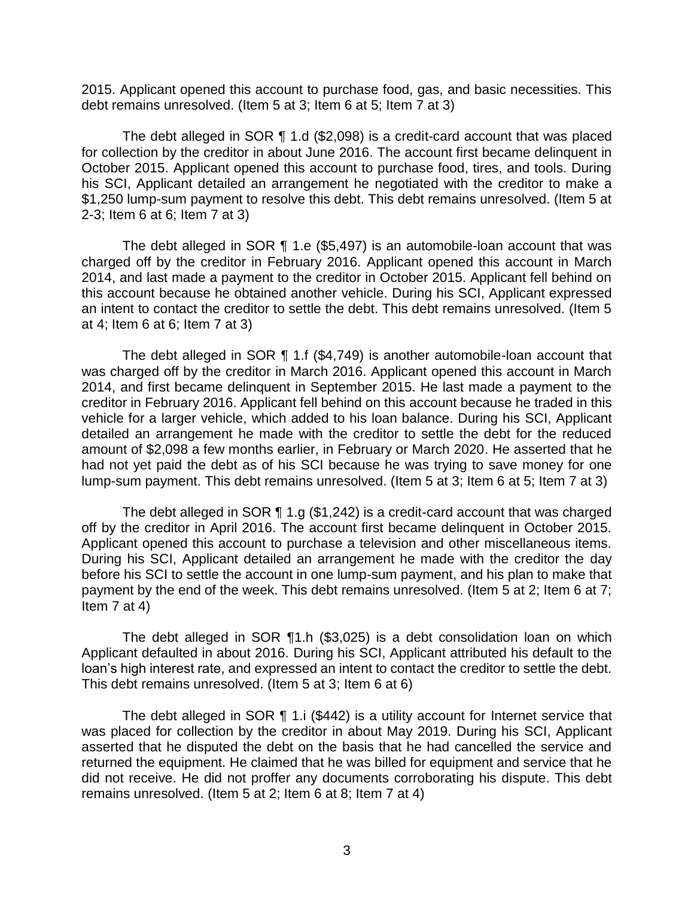2015. Applicant opened this account to purchase food, gas, and basic necessities. This debt remains unresolved. (Item 5 at 3; Item 6 at 5; Item 7 at 3)

 The debt alleged in SOR ¶ 1.d (\$2,098) is a credit-card account that was placed for collection by the creditor in about June 2016. The account first became delinquent in October 2015. Applicant opened this account to purchase food, tires, and tools. During his SCI, Applicant detailed an arrangement he negotiated with the creditor to make a \$1,250 lump-sum payment to resolve this debt. This debt remains unresolved. (Item 5 at 2-3; Item 6 at 6; Item 7 at 3)

 The debt alleged in SOR ¶ 1.e (\$5,497) is an automobile-loan account that was charged off by the creditor in February 2016. Applicant opened this account in March 2014, and last made a payment to the creditor in October 2015. Applicant fell behind on this account because he obtained another vehicle. During his SCI, Applicant expressed an intent to contact the creditor to settle the debt. This debt remains unresolved. (Item 5 at 4; Item 6 at 6; Item 7 at 3)

 The debt alleged in SOR ¶ 1.f (\$4,749) is another automobile-loan account that was charged off by the creditor in March 2016. Applicant opened this account in March 2014, and first became delinquent in September 2015. He last made a payment to the creditor in February 2016. Applicant fell behind on this account because he traded in this vehicle for a larger vehicle, which added to his loan balance. During his SCI, Applicant detailed an arrangement he made with the creditor to settle the debt for the reduced amount of \$2,098 a few months earlier, in February or March 2020. He asserted that he had not yet paid the debt as of his SCI because he was trying to save money for one lump-sum payment. This debt remains unresolved. (Item 5 at 3; Item 6 at 5; Item 7 at 3)

 off by the creditor in April 2016. The account first became delinquent in October 2015. Applicant opened this account to purchase a television and other miscellaneous items. During his SCI, Applicant detailed an arrangement he made with the creditor the day before his SCI to settle the account in one lump-sum payment, and his plan to make that payment by the end of the week. This debt remains unresolved. (Item 5 at 2; Item 6 at 7; The debt alleged in SOR ¶ 1.g (\$1,242) is a credit-card account that was charged Item  $7$  at  $4)$ 

 The debt alleged in SOR ¶1.h (\$3,025) is a debt consolidation loan on which Applicant defaulted in about 2016. During his SCI, Applicant attributed his default to the loan's high interest rate, and expressed an intent to contact the creditor to settle the debt. This debt remains unresolved. (Item 5 at 3; Item 6 at 6)

 The debt alleged in SOR ¶ 1.i (\$442) is a utility account for Internet service that was placed for collection by the creditor in about May 2019. During his SCI, Applicant asserted that he disputed the debt on the basis that he had cancelled the service and did not receive. He did not proffer any documents corroborating his dispute. This debt remains unresolved. (Item 5 at 2; Item 6 at 8; Item 7 at 4) returned the equipment. He claimed that he was billed for equipment and service that he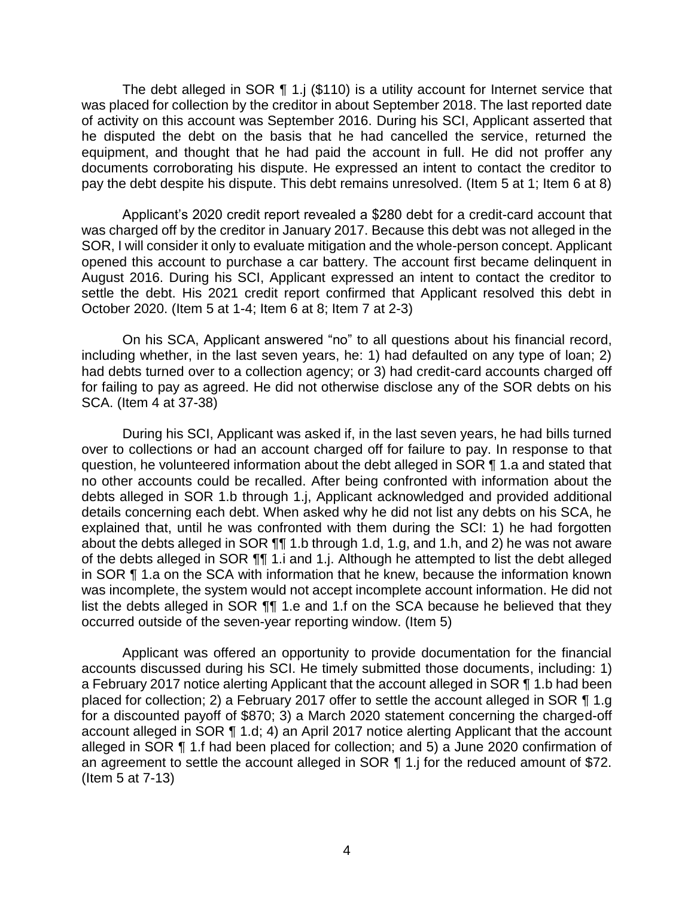The debt alleged in SOR ¶ 1.j (\$110) is a utility account for Internet service that was placed for collection by the creditor in about September 2018. The last reported date of activity on this account was September 2016. During his SCI, Applicant asserted that he disputed the debt on the basis that he had cancelled the service, returned the equipment, and thought that he had paid the account in full. He did not proffer any documents corroborating his dispute. He expressed an intent to contact the creditor to pay the debt despite his dispute. This debt remains unresolved. (Item 5 at 1; Item 6 at 8)

 Applicant's 2020 credit report revealed a \$280 debt for a credit-card account that was charged off by the creditor in January 2017. Because this debt was not alleged in the SOR, I will consider it only to evaluate mitigation and the whole-person concept. Applicant opened this account to purchase a car battery. The account first became delinquent in August 2016. During his SCI, Applicant expressed an intent to contact the creditor to settle the debt. His 2021 credit report confirmed that Applicant resolved this debt in October 2020. (Item 5 at 1-4; Item 6 at 8; Item 7 at 2-3)

 On his SCA, Applicant answered "no" to all questions about his financial record, including whether, in the last seven years, he: 1) had defaulted on any type of loan; 2) had debts turned over to a collection agency; or 3) had credit-card accounts charged off for failing to pay as agreed. He did not otherwise disclose any of the SOR debts on his SCA. (Item 4 at 37-38)

 During his SCI, Applicant was asked if, in the last seven years, he had bills turned over to collections or had an account charged off for failure to pay. In response to that question, he volunteered information about the debt alleged in SOR ¶ 1.a and stated that no other accounts could be recalled. After being confronted with information about the debts alleged in SOR 1.b through 1.j, Applicant acknowledged and provided additional details concerning each debt. When asked why he did not list any debts on his SCA, he explained that, until he was confronted with them during the SCI: 1) he had forgotten about the debts alleged in SOR ¶¶ 1.b through 1.d, 1.g, and 1.h, and 2) he was not aware of the debts alleged in SOR ¶¶ 1.i and 1.j. Although he attempted to list the debt alleged in SOR ¶ 1.a on the SCA with information that he knew, because the information known was incomplete, the system would not accept incomplete account information. He did not list the debts alleged in SOR  $\P$ , 1.e and 1.f on the SCA because he believed that they occurred outside of the seven-year reporting window. (Item 5)

 Applicant was offered an opportunity to provide documentation for the financial accounts discussed during his SCI. He timely submitted those documents, including: 1) a February 2017 notice alerting Applicant that the account alleged in SOR ¶ 1.b had been placed for collection; 2) a February 2017 offer to settle the account alleged in SOR ¶ 1.g for a discounted payoff of \$870; 3) a March 2020 statement concerning the charged-off account alleged in SOR ¶ 1.d; 4) an April 2017 notice alerting Applicant that the account alleged in SOR ¶ 1.f had been placed for collection; and 5) a June 2020 confirmation of an agreement to settle the account alleged in SOR ¶ 1.j for the reduced amount of \$72. (Item 5 at 7-13)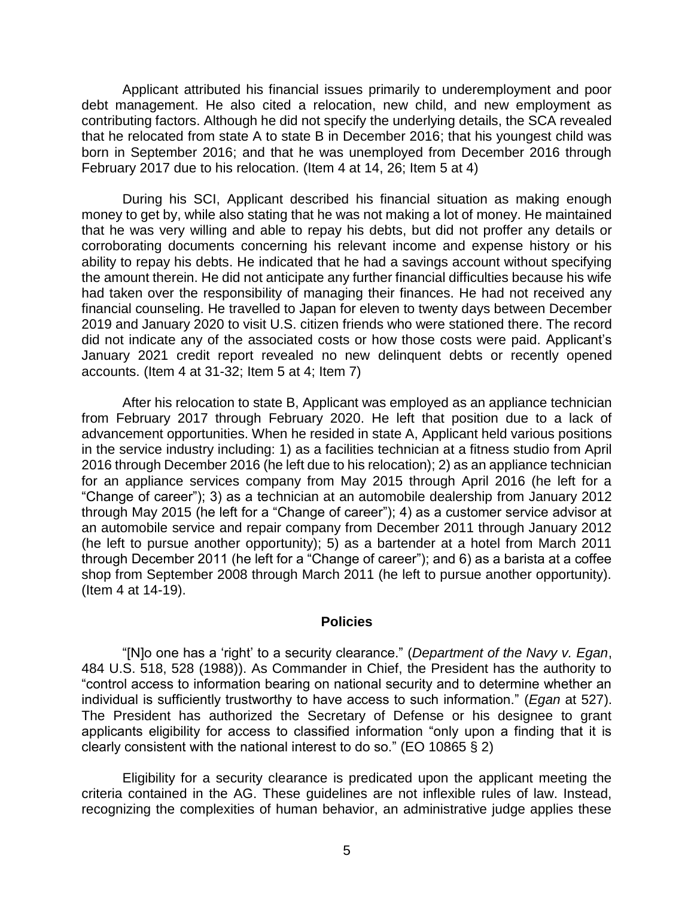Applicant attributed his financial issues primarily to underemployment and poor debt management. He also cited a relocation, new child, and new employment as contributing factors. Although he did not specify the underlying details, the SCA revealed that he relocated from state A to state B in December 2016; that his youngest child was born in September 2016; and that he was unemployed from December 2016 through February 2017 due to his relocation. (Item 4 at 14, 26; Item 5 at 4)

 During his SCI, Applicant described his financial situation as making enough money to get by, while also stating that he was not making a lot of money. He maintained that he was very willing and able to repay his debts, but did not proffer any details or corroborating documents concerning his relevant income and expense history or his ability to repay his debts. He indicated that he had a savings account without specifying the amount therein. He did not anticipate any further financial difficulties because his wife had taken over the responsibility of managing their finances. He had not received any 2019 and January 2020 to visit U.S. citizen friends who were stationed there. The record did not indicate any of the associated costs or how those costs were paid. Applicant's January 2021 credit report revealed no new delinquent debts or recently opened financial counseling. He travelled to Japan for eleven to twenty days between December accounts. (Item 4 at 31-32; Item 5 at 4; Item 7)

 After his relocation to state B, Applicant was employed as an appliance technician from February 2017 through February 2020. He left that position due to a lack of advancement opportunities. When he resided in state A, Applicant held various positions in the service industry including: 1) as a facilities technician at a fitness studio from April 2016 through December 2016 (he left due to his relocation); 2) as an appliance technician for an appliance services company from May 2015 through April 2016 (he left for a "Change of career"); 3) as a technician at an automobile dealership from January 2012 through May 2015 (he left for a "Change of career"); 4) as a customer service advisor at an automobile service and repair company from December 2011 through January 2012 (he left to pursue another opportunity); 5) as a bartender at a hotel from March 2011 through December 2011 (he left for a "Change of career"); and 6) as a barista at a coffee shop from September 2008 through March 2011 (he left to pursue another opportunity). (Item 4 at 14-19).

#### **Policies**

 "[N]o one has a 'right' to a security clearance." (*Department of the Navy v. Egan*, 484 U.S. 518, 528 (1988)). As Commander in Chief, the President has the authority to "control access to information bearing on national security and to determine whether an individual is sufficiently trustworthy to have access to such information." (*Egan* at 527). The President has authorized the Secretary of Defense or his designee to grant applicants eligibility for access to classified information "only upon a finding that it is clearly consistent with the national interest to do so." (EO 10865 § 2)

 Eligibility for a security clearance is predicated upon the applicant meeting the criteria contained in the AG. These guidelines are not inflexible rules of law. Instead, recognizing the complexities of human behavior, an administrative judge applies these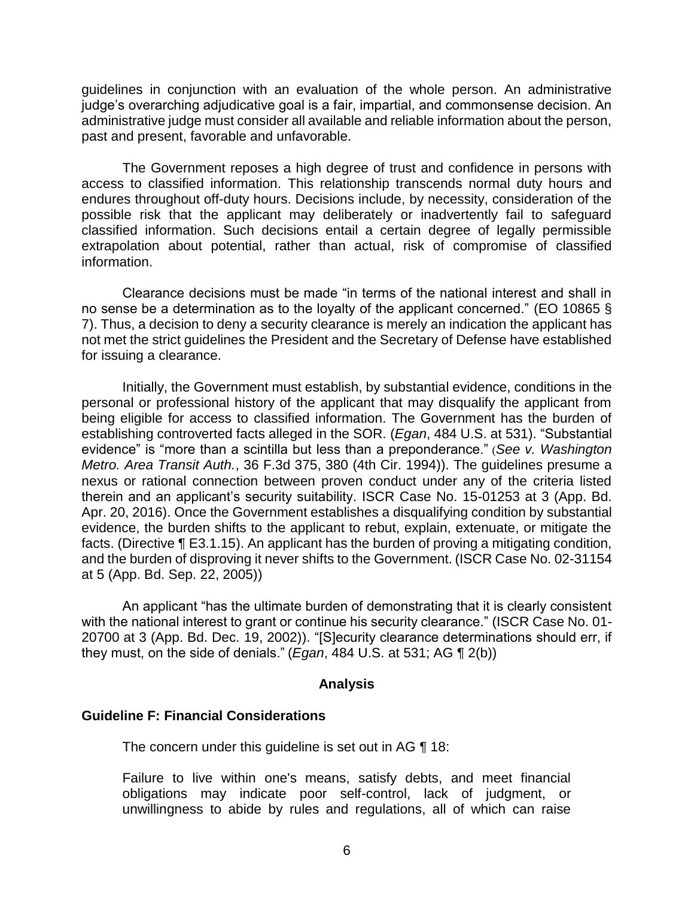guidelines in conjunction with an evaluation of the whole person. An administrative judge's overarching adjudicative goal is a fair, impartial, and commonsense decision. An administrative judge must consider all available and reliable information about the person, past and present, favorable and unfavorable.

 The Government reposes a high degree of trust and confidence in persons with access to classified information. This relationship transcends normal duty hours and endures throughout off-duty hours. Decisions include, by necessity, consideration of the possible risk that the applicant may deliberately or inadvertently fail to safeguard classified information. Such decisions entail a certain degree of legally permissible extrapolation about potential, rather than actual, risk of compromise of classified information.

 Clearance decisions must be made "in terms of the national interest and shall in no sense be a determination as to the loyalty of the applicant concerned." (EO 10865 § 7). Thus, a decision to deny a security clearance is merely an indication the applicant has not met the strict guidelines the President and the Secretary of Defense have established for issuing a clearance.

 Initially, the Government must establish, by substantial evidence, conditions in the personal or professional history of the applicant that may disqualify the applicant from being eligible for access to classified information. The Government has the burden of establishing controverted facts alleged in the SOR. (*Egan*, 484 U.S. at 531). "Substantial evidence" is "more than a scintilla but less than a preponderance." (*See v. Washington Metro. Area Transit Auth.*, 36 F.3d 375, 380 (4th Cir. 1994)). The guidelines presume a nexus or rational connection between proven conduct under any of the criteria listed therein and an applicant's security suitability. ISCR Case No. 15-01253 at 3 (App. Bd. Apr. 20, 2016). Once the Government establishes a disqualifying condition by substantial evidence, the burden shifts to the applicant to rebut, explain, extenuate, or mitigate the facts. (Directive ¶ E3.1.15). An applicant has the burden of proving a mitigating condition, and the burden of disproving it never shifts to the Government. (ISCR Case No. 02-31154 at 5 (App. Bd. Sep. 22, 2005))

 An applicant "has the ultimate burden of demonstrating that it is clearly consistent with the national interest to grant or continue his security clearance." (ISCR Case No. 01- 20700 at 3 (App. Bd. Dec. 19, 2002)). "[S]ecurity clearance determinations should err, if they must, on the side of denials." (*Egan*, 484 U.S. at 531; AG ¶ 2(b))

### **Analysis**

## **Guideline F: Financial Considerations**

The concern under this guideline is set out in AG ¶ 18:

 Failure to live within one's means, satisfy debts, and meet financial obligations may indicate poor self-control, lack of judgment, or unwillingness to abide by rules and regulations, all of which can raise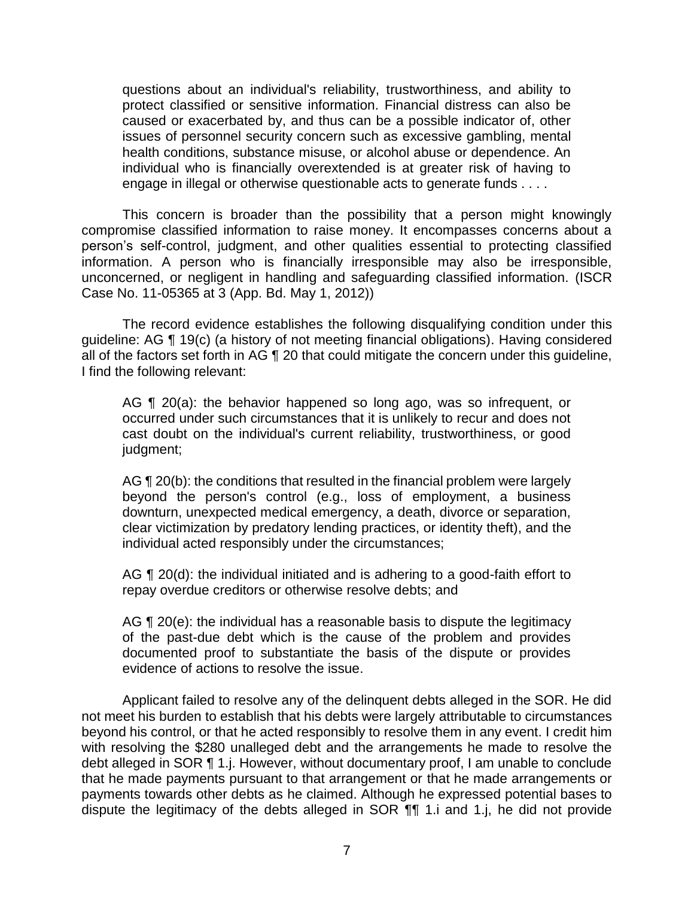questions about an individual's reliability, trustworthiness, and ability to protect classified or sensitive information. Financial distress can also be caused or exacerbated by, and thus can be a possible indicator of, other individual who is financially overextended is at greater risk of having to engage in illegal or otherwise questionable acts to generate funds . . . . issues of personnel security concern such as excessive gambling, mental health conditions, substance misuse, or alcohol abuse or dependence. An

 This concern is broader than the possibility that a person might knowingly compromise classified information to raise money. It encompasses concerns about a person's self-control, judgment, and other qualities essential to protecting classified information. A person who is financially irresponsible may also be irresponsible, unconcerned, or negligent in handling and safeguarding classified information. (ISCR Case No. 11-05365 at 3 (App. Bd. May 1, 2012))

 The record evidence establishes the following disqualifying condition under this guideline: AG ¶ 19(c) (a history of not meeting financial obligations). Having considered all of the factors set forth in AG ¶ 20 that could mitigate the concern under this guideline, I find the following relevant:

AG ¶ 20(a): the behavior happened so long ago, was so infrequent, or occurred under such circumstances that it is unlikely to recur and does not cast doubt on the individual's current reliability, trustworthiness, or good judgment;

AG ¶ 20(b): the conditions that resulted in the financial problem were largely beyond the person's control (e.g., loss of employment, a business clear victimization by predatory lending practices, or identity theft), and the downturn, unexpected medical emergency, a death, divorce or separation, individual acted responsibly under the circumstances;

AG ¶ 20(d): the individual initiated and is adhering to a good-faith effort to repay overdue creditors or otherwise resolve debts; and

AG ¶ 20(e): the individual has a reasonable basis to dispute the legitimacy of the past-due debt which is the cause of the problem and provides documented proof to substantiate the basis of the dispute or provides evidence of actions to resolve the issue.

 Applicant failed to resolve any of the delinquent debts alleged in the SOR. He did not meet his burden to establish that his debts were largely attributable to circumstances beyond his control, or that he acted responsibly to resolve them in any event. I credit him with resolving the \$280 unalleged debt and the arrangements he made to resolve the debt alleged in SOR ¶ 1.j. However, without documentary proof, I am unable to conclude that he made payments pursuant to that arrangement or that he made arrangements or dispute the legitimacy of the debts alleged in SOR ¶¶ 1.i and 1.j, he did not provide payments towards other debts as he claimed. Although he expressed potential bases to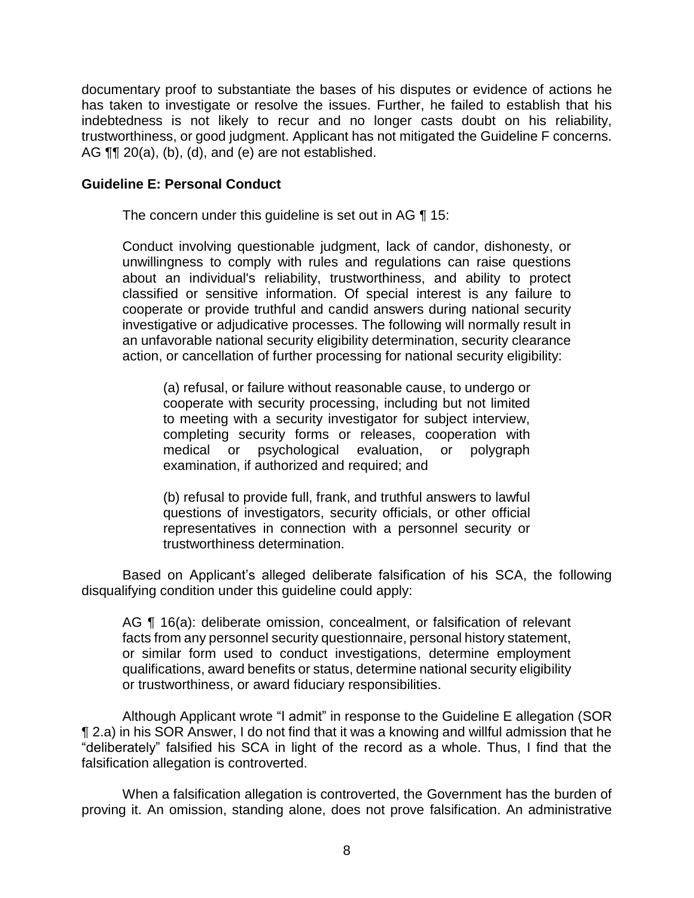documentary proof to substantiate the bases of his disputes or evidence of actions he has taken to investigate or resolve the issues. Further, he failed to establish that his indebtedness is not likely to recur and no longer casts doubt on his reliability, trustworthiness, or good judgment. Applicant has not mitigated the Guideline F concerns. AG ¶¶ 20(a), (b), (d), and (e) are not established.

## **Guideline E: Personal Conduct**

The concern under this guideline is set out in AG ¶ 15:

 Conduct involving questionable judgment, lack of candor, dishonesty, or unwillingness to comply with rules and regulations can raise questions about an individual's reliability, trustworthiness, and ability to protect classified or sensitive information. Of special interest is any failure to cooperate or provide truthful and candid answers during national security investigative or adjudicative processes. The following will normally result in an unfavorable national security eligibility determination, security clearance action, or cancellation of further processing for national security eligibility:

 (a) refusal, or failure without reasonable cause, to undergo or cooperate with security processing, including but not limited to meeting with a security investigator for subject interview, completing security forms or releases, cooperation with medical or psychological evaluation, or polygraph examination, if authorized and required; and

 (b) refusal to provide full, frank, and truthful answers to lawful representatives in connection with a personnel security or questions of investigators, security officials, or other official trustworthiness determination.

 Based on Applicant's alleged deliberate falsification of his SCA, the following disqualifying condition under this guideline could apply:

 AG ¶ 16(a): deliberate omission, concealment, or falsification of relevant facts from any personnel security questionnaire, personal history statement, or similar form used to conduct investigations, determine employment qualifications, award benefits or status, determine national security eligibility or trustworthiness, or award fiduciary responsibilities.

 ¶ 2.a) in his SOR Answer, I do not find that it was a knowing and willful admission that he "deliberately" falsified his SCA in light of the record as a whole. Thus, I find that the Although Applicant wrote "I admit" in response to the Guideline E allegation (SOR falsification allegation is controverted.

 When a falsification allegation is controverted, the Government has the burden of proving it. An omission, standing alone, does not prove falsification. An administrative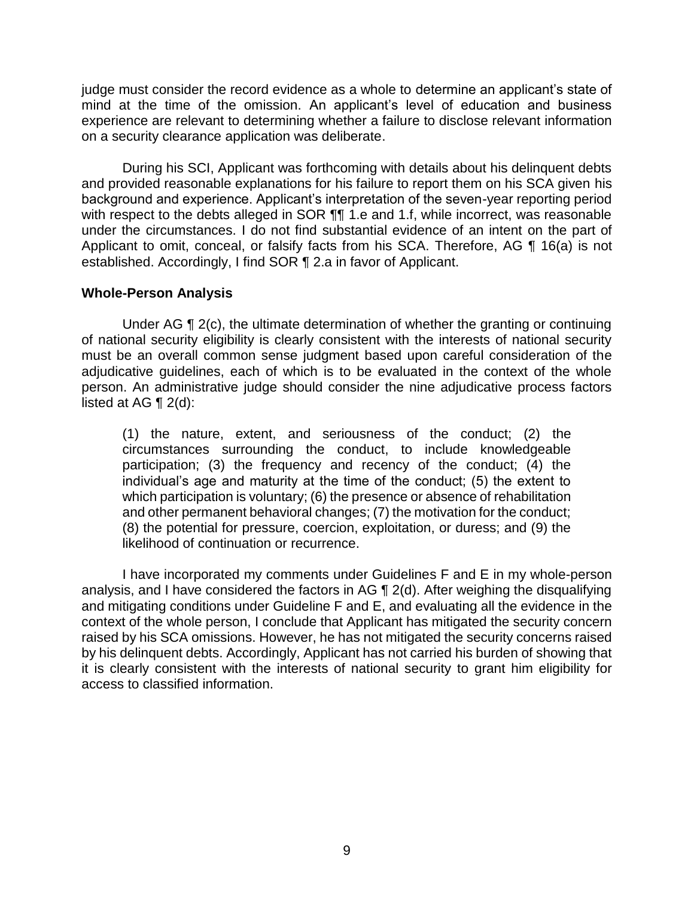mind at the time of the omission. An applicant's level of education and business experience are relevant to determining whether a failure to disclose relevant information judge must consider the record evidence as a whole to determine an applicant's state of on a security clearance application was deliberate.

 During his SCI, Applicant was forthcoming with details about his delinquent debts and provided reasonable explanations for his failure to report them on his SCA given his background and experience. Applicant's interpretation of the seven-year reporting period with respect to the debts alleged in SOR  $\P$  1.e and 1.f, while incorrect, was reasonable under the circumstances. I do not find substantial evidence of an intent on the part of Applicant to omit, conceal, or falsify facts from his SCA. Therefore, AG ¶ 16(a) is not established. Accordingly, I find SOR ¶ 2.a in favor of Applicant.

## **Whole-Person Analysis**

Under AG ¶ 2(c), the ultimate determination of whether the granting or continuing of national security eligibility is clearly consistent with the interests of national security must be an overall common sense judgment based upon careful consideration of the adjudicative guidelines, each of which is to be evaluated in the context of the whole person. An administrative judge should consider the nine adjudicative process factors listed at AG  $\P$  2(d):

(1) the nature, extent, and seriousness of the conduct; (2) the circumstances surrounding the conduct, to include knowledgeable participation; (3) the frequency and recency of the conduct; (4) the individual's age and maturity at the time of the conduct; (5) the extent to which participation is voluntary; (6) the presence or absence of rehabilitation and other permanent behavioral changes; (7) the motivation for the conduct; (8) the potential for pressure, coercion, exploitation, or duress; and (9) the likelihood of continuation or recurrence.

 analysis, and I have considered the factors in AG ¶ 2(d). After weighing the disqualifying and mitigating conditions under Guideline F and E, and evaluating all the evidence in the context of the whole person, I conclude that Applicant has mitigated the security concern raised by his SCA omissions. However, he has not mitigated the security concerns raised by his delinquent debts. Accordingly, Applicant has not carried his burden of showing that it is clearly consistent with the interests of national security to grant him eligibility for I have incorporated my comments under Guidelines F and E in my whole-person access to classified information.